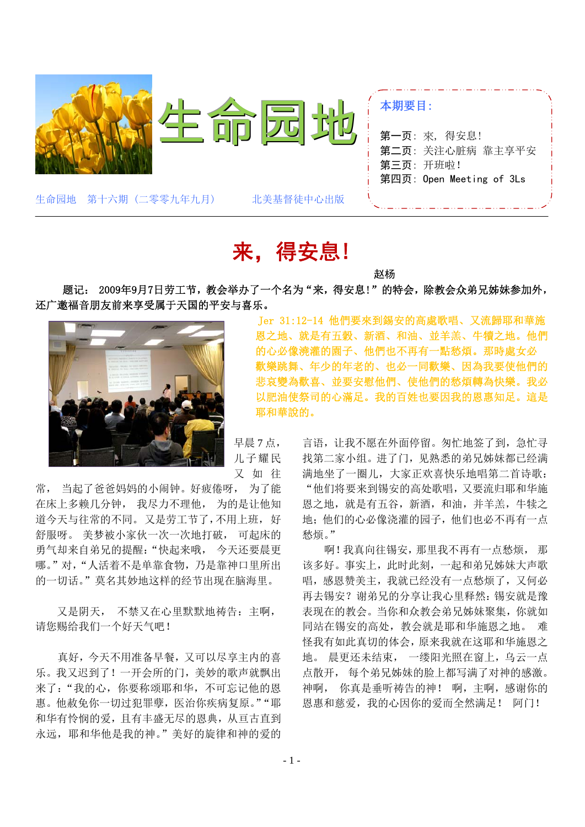

## 来,得安息!

 题记: 2009年9月7日劳工节,教会举办了一个名为"来,得安息!"的特会,除教会众弟兄姊妹参加外, 还广邀福音朋友前来享受属于天国的平安与喜乐。<br> Jer 31:12-14 他們要來到錫安的高處歌唱、又流歸耶和華施<br> 國**國國國國國國** 國之地、就是有五穀、新酒、和油、並羊羔、牛犢之地。他們



的心必像澆灌的園子、他們也不再有一點愁煩。那時處女必 歡樂跳舞、年少的年老的、也必一同歡樂、因為我要使他們的 悲哀變為歡喜、並要安慰他們、使他們的愁煩轉為快樂。我必 以肥油使祭司的心滿足。我的百姓也要因我的恩惠知足。這是 耶和華說的。

早晨 7 点, 儿子耀民 又 如 往

常, 当起了爸爸妈妈的小闹钟。好疲倦呀, 为了能 在床上多赖几分钟, 我尽力不理他, 为的是让他知 道今天与往常的不同。又是劳工节了,不用上班,好 舒服呀。 美梦被小家伙一次一次地打破, 可起床的 勇气却来自弟兄的提醒:"快起来哦, 今天还要晨更 哪。"对,"人活着不是单靠食物,乃是靠神口里所出 的一切话。"莫名其妙地这样的经节出现在脑海里。

又是阴天, 不禁又在心里默默地祷告: 主啊, 请您赐给我们一个好天气吧!

真好,今天不用准备早餐,又可以尽享主内的喜 乐。我又迟到了!一开会所的门,美妙的歌声就飘出 来了:"我的心,你要称颂耶和华,不可忘记他的恩 惠。他赦免你一切过犯罪孽,医治你疾病复原。""耶 和华有怜悯的爱,且有丰盛无尽的恩典,从亘古直到 永远,耶和华他是我的神。"美好的旋律和神的爱的

言语,让我不愿在外面停留。匆忙地签了到,急忙寻 找第二家小组。进了门,见熟悉的弟兄姊妹都已经满 满地坐了一圈儿,大家正欢喜快乐地唱第二首诗歌: "他们将要来到锡安的高处歌唱,又要流归耶和华施 恩之地,就是有五谷,新酒,和油,并羊羔,牛犊之 地;他们的心必像浇灌的园子,他们也必不再有一点 愁烦。"

啊!我真向往锡安,那里我不再有一点愁烦, 那 该多好。事实上,此时此刻,一起和弟兄姊妹大声歌 唱,感恩赞美主,我就已经没有一点愁烦了,又何必 再去锡安?谢弟兄的分享让我心里释然: 锡安就是豫 表现在的教会。当你和众教会弟兄姊妹聚集,你就如 同站在锡安的高处,教会就是耶和华施恩之地。 难 怪我有如此真切的体会,原来我就在这耶和华施恩之 地。 晨更还未结束, 一缕阳光照在窗上,乌云一点 点散开, 每个弟兄姊妹的脸上都写满了对神的感激。 神啊, 你真是垂听祷告的神! 啊,主啊,感谢你的 恩惠和慈爱,我的心因你的爱而全然满足! 阿门!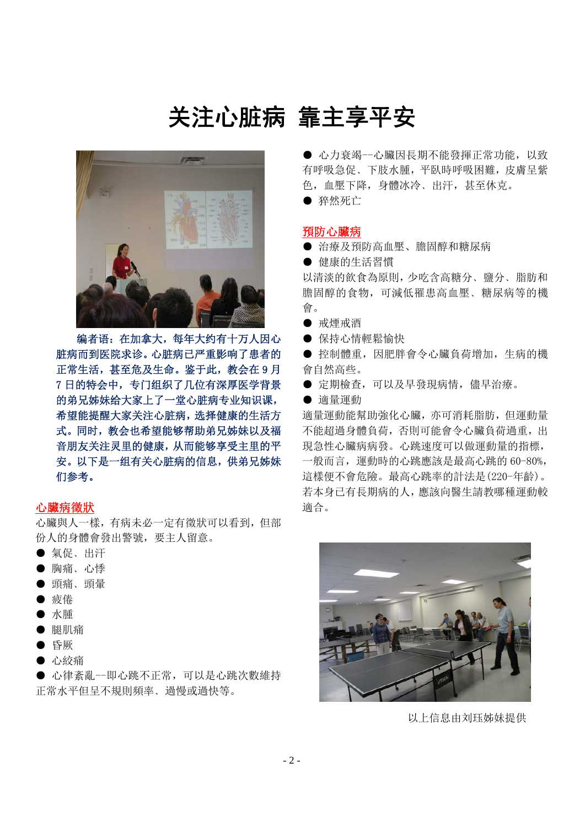### 关注心脏病 靠主享平安



编者语:在加拿大,每年大约有十万人因心 脏病而到医院求诊。心脏病已严重影响了患者的 正常生活,甚至危及生命。鉴于此,教会在 9 月 7 日的特会中,专门组织了几位有深厚医学背景 的弟兄姊妹给大家上了一堂心脏病专业知识课, 希望能提醒大家关注心脏病,选择健康的生活方 式。同时,教会也希望能够帮助弟兄姊妹以及福 音朋友关注灵里的健康,从而能够享受主里的平 安。以下是一组有关心脏病的信息,供弟兄姊妹 们参考。

### 心臟病徵狀

心臟與人一樣,有病未必一定有徵狀可以看到,但部 份人的身體會發出警號,要主人留意。

- 氣促、出汗
- 胸痛、心悸
- 頭痛、頭暈
- 疲倦
- 水腫
- 腿肌痛
- 昏厥
- 心絞痛

● 心律紊亂--即心跳不正常, 可以是心跳次數維持 正常水平但呈不規則頻率﹑過慢或過快等。

● 心力衰竭--心臟因長期不能發揮正常功能, 以致 有呼吸急促﹑下肢水腫,平臥時呼吸困難,皮膚呈紫 色,血壓下降,身體冰冷﹑出汗,甚至休克。

● 猝然死亡

### 預防心臟病

- 治療及預防高血壓、膽固醇和糖尿病
- 健康的生活習慣

以清淡的飲食為原則,少吃含高糖分﹑鹽分﹑脂肪和 膽固醇的食物,可減低罹患高血壓﹑糖尿病等的機 會。

- 戒煙戒酒
- 保持心情輕鬆愉快

● 控制體重,因肥胖會令心臟負荷增加,生病的機 會自然高些。

● 定期檢查,可以及早發現病情,儘早治療。

● 適量運動

適量運動能幫助強化心臟,亦可消耗脂肪,但運動量 不能超過身體負荷,否則可能會令心臟負荷過重,出 現急性心臟病病發。心跳速度可以做運動量的指標, 一般而言,運動時的心跳應該是最高心跳的 60-80%, 這樣便不會危險。最高心跳率的計法是(220-年齡)。 若本身已有長期病的人,應該向醫生請教哪種運動較 適合。



以上信息由刘珏姊妹提供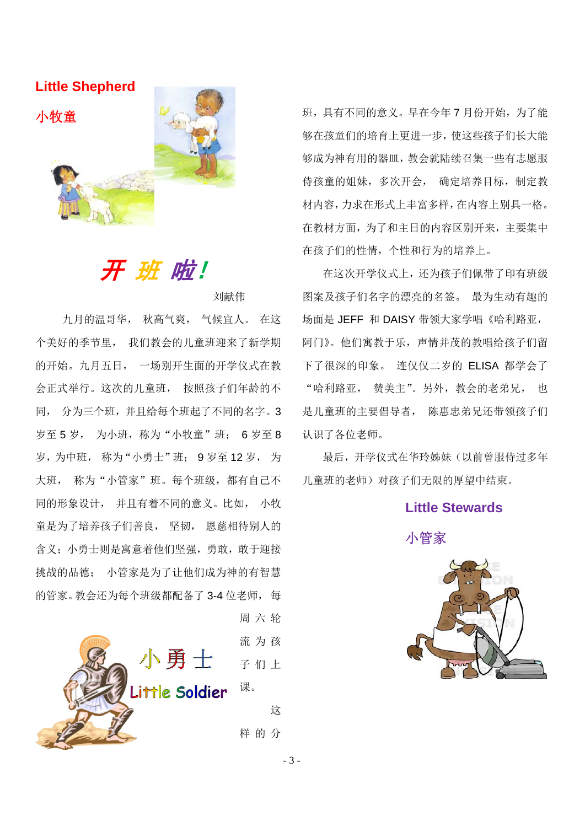**Little Shepherd**



开 班 啦!

### 刘献伟

 九月的温哥华, 秋高气爽, 气候宜人。 在这 个美好的季节里, 我们教会的儿童班迎来了新学期 的开始。九月五日, 一场别开生面的开学仪式在教 会正式举行。这次的儿童班, 按照孩子们年龄的不 同, 分为三个班,并且给每个班起了不同的名字。3 岁至 5 岁, 为小班,称为"小牧童"班; 6 岁至 8 岁,为中班, 称为"小勇士"班; 9 岁至 12 岁, 为 大班, 称为"小管家"班。每个班级,都有自己不 同的形象设计, 并且有着不同的意义。比如, 小牧 童是为了培养孩子们善良, 坚韧, 恩慈相待别人的 含义;小勇士则是寓意着他们坚强,勇敢,敢于迎接 挑战的品德; 小管家是为了让他们成为神的有智慧 的管家。教会还为每个班级都配备了 3-4 位老师, 每



班,具有不同的意义。早在今年7月份开始,为了能 够在孩童们的培育上更进一步,使这些孩子们长大能 够成为神有用的器皿,教会就陆续召集一些有志愿服 侍孩童的姐妹,多次开会, 确定培养目标,制定教 材内容,力求在形式上丰富多样,在内容上别具一格。 在教材方面,为了和主日的内容区别开来,主要集中 在孩子们的性情,个性和行为的培养上。

在这次开学仪式上,还为孩子们佩带了印有班级 图案及孩子们名字的漂亮的名签。 最为生动有趣的 场面是 JEFF 和 DAISY 带领大家学唱《哈利路亚, 阿门》。他们寓教于乐,声情并茂的教唱给孩子们留 下了很深的印象。 连仅仅二岁的 ELISA 都学会了 "哈利路亚, 赞美主"。另外,教会的老弟兄, 也 是儿童班的主要倡导者, 陈惠忠弟兄还带领孩子们 认识了各位老师。

最后,开学仪式在华玲姊妹(以前曾服侍过多年 儿童班的老师)对孩子们无限的厚望中结束。

### **Little Stewards**



- 3 -

周六轮